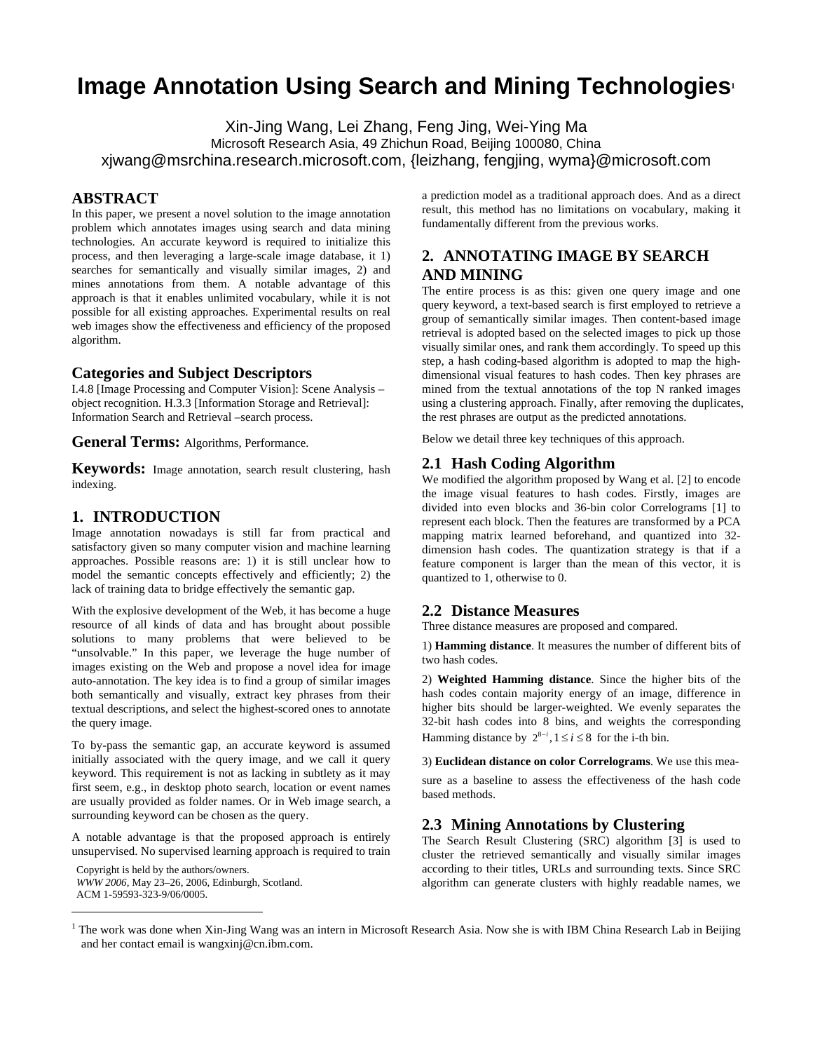# **Image Annotation Using Search and Mining Technologies<sup>1</sup>**

Xin-Jing Wang, Lei Zhang, Feng Jing, Wei-Ying Ma Microsoft Research Asia, 49 Zhichun Road, Beijing 100080, China xjwang@msrchina.research.microsoft.com, {leizhang, fengjing, wyma}@microsoft.com

## **ABSTRACT**

In this paper, we present a novel solution to the image annotation problem which annotates images using search and data mining technologies. An accurate keyword is required to initialize this process, and then leveraging a large-scale image database, it 1) searches for semantically and visually similar images, 2) and mines annotations from them. A notable advantage of this approach is that it enables unlimited vocabulary, while it is not possible for all existing approaches. Experimental results on real web images show the effectiveness and efficiency of the proposed algorithm.

## **Categories and Subject Descriptors**

I.4.8 [Image Processing and Computer Vision]: Scene Analysis – object recognition. H.3.3 [Information Storage and Retrieval]: Information Search and Retrieval –search process.

**General Terms:** Algorithms, Performance.

**Keywords:** Image annotation, search result clustering, hash indexing.

#### **1. INTRODUCTION**

Image annotation nowadays is still far from practical and satisfactory given so many computer vision and machine learning approaches. Possible reasons are: 1) it is still unclear how to model the semantic concepts effectively and efficiently; 2) the lack of training data to bridge effectively the semantic gap.

With the explosive development of the Web, it has become a huge resource of all kinds of data and has brought about possible solutions to many problems that were believed to be "unsolvable." In this paper, we leverage the huge number of images existing on the Web and propose a novel idea for image auto-annotation. The key idea is to find a group of similar images both semantically and visually, extract key phrases from their textual descriptions, and select the highest-scored ones to annotate the query image.

To by-pass the semantic gap, an accurate keyword is assumed initially associated with the query image, and we call it query keyword. This requirement is not as lacking in subtlety as it may first seem, e.g., in desktop photo search, location or event names are usually provided as folder names. Or in Web image search, a surrounding keyword can be chosen as the query.

A notable advantage is that the proposed approach is entirely unsupervised. No supervised learning approach is required to train

Copyright is held by the authors/owners. *WWW 2006,* May 23–26, 2006, Edinburgh, Scotland. ACM 1-59593-323-9/06/0005.

 $\overline{a}$ 

a prediction model as a traditional approach does. And as a direct result, this method has no limitations on vocabulary, making it fundamentally different from the previous works.

# **2. ANNOTATING IMAGE BY SEARCH AND MINING**

The entire process is as this: given one query image and one query keyword, a text-based search is first employed to retrieve a group of semantically similar images. Then content-based image retrieval is adopted based on the selected images to pick up those visually similar ones, and rank them accordingly. To speed up this step, a hash coding-based algorithm is adopted to map the highdimensional visual features to hash codes. Then key phrases are mined from the textual annotations of the top N ranked images using a clustering approach. Finally, after removing the duplicates, the rest phrases are output as the predicted annotations.

Below we detail three key techniques of this approach.

#### **2.1 Hash Coding Algorithm**

We modified the algorithm proposed by Wang et al. [2] to encode the image visual features to hash codes. Firstly, images are divided into even blocks and 36-bin color Correlograms [1] to represent each block. Then the features are transformed by a PCA mapping matrix learned beforehand, and quantized into 32 dimension hash codes. The quantization strategy is that if a feature component is larger than the mean of this vector, it is quantized to 1, otherwise to 0.

#### **2.2 Distance Measures**

Three distance measures are proposed and compared.

1) **Hamming distance**. It measures the number of different bits of two hash codes.

2) **Weighted Hamming distance**. Since the higher bits of the hash codes contain majority energy of an image, difference in higher bits should be larger-weighted. We evenly separates the 32-bit hash codes into 8 bins, and weights the corresponding Hamming distance by  $2^{8-i}$ ,  $1 \le i \le 8$  for the i-th bin.

3) **Euclidean distance on color Correlograms**. We use this mea-

sure as a baseline to assess the effectiveness of the hash code based methods.

# **2.3 Mining Annotations by Clustering**

The Search Result Clustering (SRC) algorithm [3] is used to cluster the retrieved semantically and visually similar images according to their titles, URLs and surrounding texts. Since SRC algorithm can generate clusters with highly readable names, we

<sup>1</sup> The work was done when Xin-Jing Wang was an intern in Microsoft Research Asia. Now she is with IBM China Research Lab in Beijing and her contact email is wangxinj@cn.ibm.com.